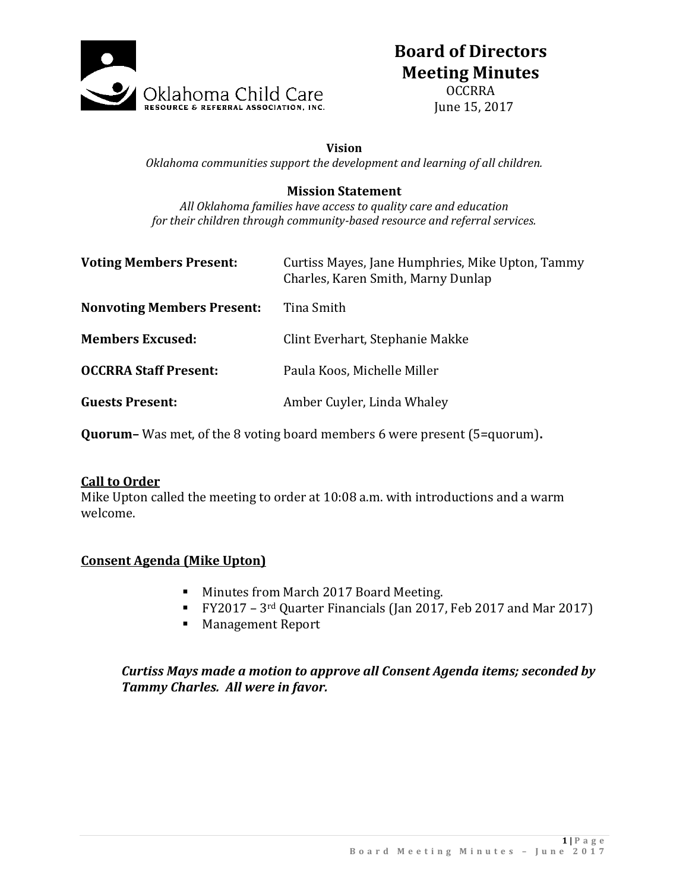

# **Board of Directors Meeting Minutes**

OCCRRA June 15, 2017

#### **Vision**

*Oklahoma communities support the development and learning of all children.*

#### **Mission Statement**

*All Oklahoma families have access to quality care and education for their children through community-based resource and referral services.*

| <b>Voting Members Present:</b>    | Curtiss Mayes, Jane Humphries, Mike Upton, Tammy<br>Charles, Karen Smith, Marny Dunlap |
|-----------------------------------|----------------------------------------------------------------------------------------|
| <b>Nonvoting Members Present:</b> | Tina Smith                                                                             |
| <b>Members Excused:</b>           | Clint Everhart, Stephanie Makke                                                        |
| <b>OCCRRA Staff Present:</b>      | Paula Koos, Michelle Miller                                                            |
| <b>Guests Present:</b>            | Amber Cuyler, Linda Whaley                                                             |

**Quorum–** Was met, of the 8 voting board members 6 were present (5=quorum)**.**

#### **Call to Order**

Mike Upton called the meeting to order at 10:08 a.m. with introductions and a warm welcome.

#### **Consent Agenda (Mike Upton)**

- **Minutes from March 2017 Board Meeting.**
- FY2017 3rd Quarter Financials (Jan 2017, Feb 2017 and Mar 2017)
- **Management Report**

### *Curtiss Mays made a motion to approve all Consent Agenda items; seconded by Tammy Charles. All were in favor.*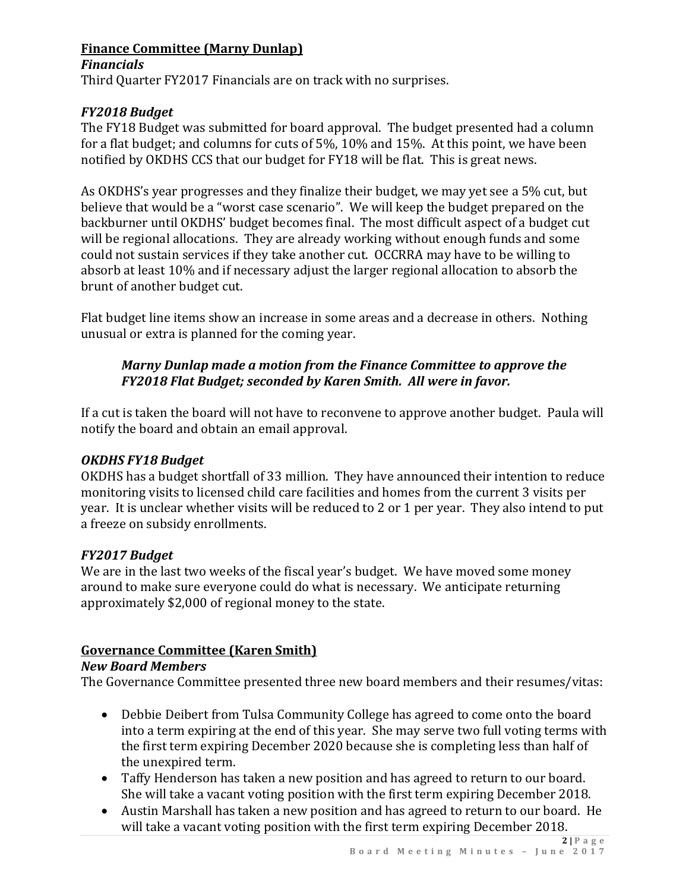# **Finance Committee (Marny Dunlap)**

## *Financials*

Third Quarter FY2017 Financials are on track with no surprises.

# *FY2018 Budget*

The FY18 Budget was submitted for board approval. The budget presented had a column for a flat budget; and columns for cuts of 5%, 10% and 15%. At this point, we have been notified by OKDHS CCS that our budget for FY18 will be flat. This is great news.

As OKDHS's year progresses and they finalize their budget, we may yet see a 5% cut, but believe that would be a "worst case scenario". We will keep the budget prepared on the backburner until OKDHS' budget becomes final. The most difficult aspect of a budget cut will be regional allocations. They are already working without enough funds and some could not sustain services if they take another cut. OCCRRA may have to be willing to absorb at least 10% and if necessary adjust the larger regional allocation to absorb the brunt of another budget cut.

Flat budget line items show an increase in some areas and a decrease in others. Nothing unusual or extra is planned for the coming year.

# *Marny Dunlap made a motion from the Finance Committee to approve the FY2018 Flat Budget; seconded by Karen Smith. All were in favor.*

If a cut is taken the board will not have to reconvene to approve another budget. Paula will notify the board and obtain an email approval.

# *OKDHS FY18 Budget*

OKDHS has a budget shortfall of 33 million. They have announced their intention to reduce monitoring visits to licensed child care facilities and homes from the current 3 visits per year. It is unclear whether visits will be reduced to 2 or 1 per year. They also intend to put a freeze on subsidy enrollments.

# *FY2017 Budget*

We are in the last two weeks of the fiscal year's budget. We have moved some money around to make sure everyone could do what is necessary. We anticipate returning approximately \$2,000 of regional money to the state.

# **Governance Committee (Karen Smith)**

# *New Board Members*

The Governance Committee presented three new board members and their resumes/vitas:

- Debbie Deibert from Tulsa Community College has agreed to come onto the board into a term expiring at the end of this year. She may serve two full voting terms with the first term expiring December 2020 because she is completing less than half of the unexpired term.
- Taffy Henderson has taken a new position and has agreed to return to our board. She will take a vacant voting position with the first term expiring December 2018.
- Austin Marshall has taken a new position and has agreed to return to our board. He will take a vacant voting position with the first term expiring December 2018.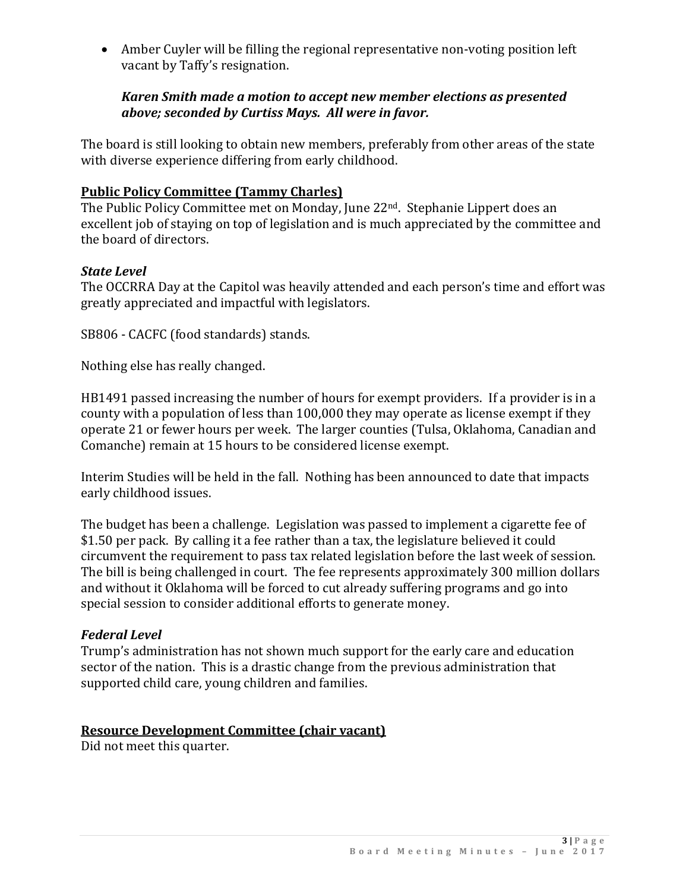Amber Cuyler will be filling the regional representative non-voting position left vacant by Taffy's resignation.

## *Karen Smith made a motion to accept new member elections as presented above; seconded by Curtiss Mays. All were in favor.*

The board is still looking to obtain new members, preferably from other areas of the state with diverse experience differing from early childhood.

# **Public Policy Committee (Tammy Charles)**

The Public Policy Committee met on Monday, June 22nd. Stephanie Lippert does an excellent job of staying on top of legislation and is much appreciated by the committee and the board of directors.

## *State Level*

The OCCRRA Day at the Capitol was heavily attended and each person's time and effort was greatly appreciated and impactful with legislators.

SB806 - CACFC (food standards) stands.

Nothing else has really changed.

HB1491 passed increasing the number of hours for exempt providers. If a provider is in a county with a population of less than 100,000 they may operate as license exempt if they operate 21 or fewer hours per week. The larger counties (Tulsa, Oklahoma, Canadian and Comanche) remain at 15 hours to be considered license exempt.

Interim Studies will be held in the fall. Nothing has been announced to date that impacts early childhood issues.

The budget has been a challenge. Legislation was passed to implement a cigarette fee of \$1.50 per pack. By calling it a fee rather than a tax, the legislature believed it could circumvent the requirement to pass tax related legislation before the last week of session. The bill is being challenged in court. The fee represents approximately 300 million dollars and without it Oklahoma will be forced to cut already suffering programs and go into special session to consider additional efforts to generate money.

### *Federal Level*

Trump's administration has not shown much support for the early care and education sector of the nation. This is a drastic change from the previous administration that supported child care, young children and families.

### **Resource Development Committee (chair vacant)**

Did not meet this quarter.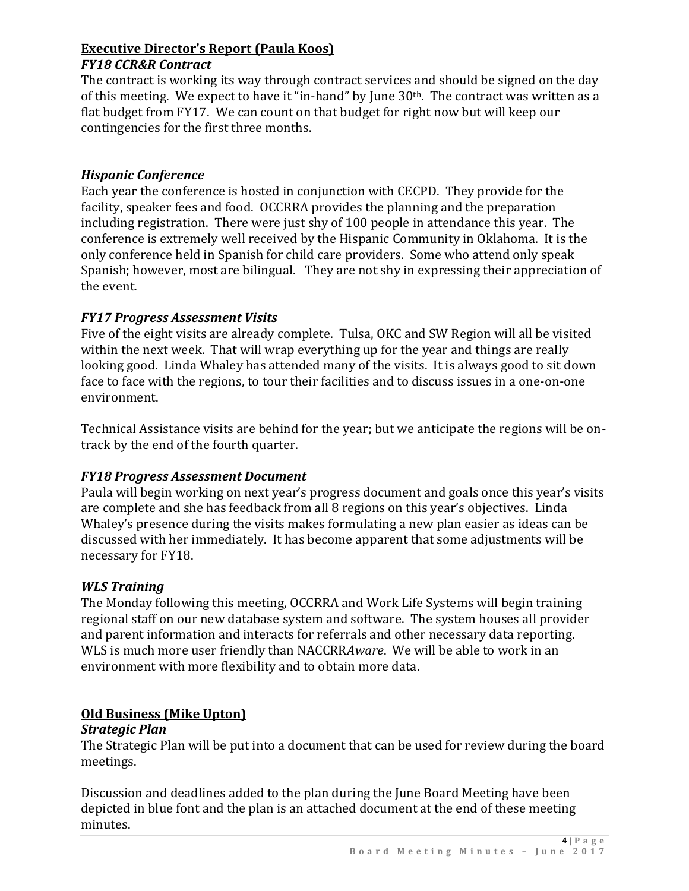## **Executive Director's Report (Paula Koos)** *FY18 CCR&R Contract*

The contract is working its way through contract services and should be signed on the day of this meeting. We expect to have it "in-hand" by June 30th. The contract was written as a flat budget from FY17. We can count on that budget for right now but will keep our contingencies for the first three months.

# *Hispanic Conference*

Each year the conference is hosted in conjunction with CECPD. They provide for the facility, speaker fees and food. OCCRRA provides the planning and the preparation including registration. There were just shy of 100 people in attendance this year. The conference is extremely well received by the Hispanic Community in Oklahoma. It is the only conference held in Spanish for child care providers. Some who attend only speak Spanish; however, most are bilingual. They are not shy in expressing their appreciation of the event.

## *FY17 Progress Assessment Visits*

Five of the eight visits are already complete. Tulsa, OKC and SW Region will all be visited within the next week. That will wrap everything up for the year and things are really looking good. Linda Whaley has attended many of the visits. It is always good to sit down face to face with the regions, to tour their facilities and to discuss issues in a one-on-one environment.

Technical Assistance visits are behind for the year; but we anticipate the regions will be ontrack by the end of the fourth quarter.

# *FY18 Progress Assessment Document*

Paula will begin working on next year's progress document and goals once this year's visits are complete and she has feedback from all 8 regions on this year's objectives. Linda Whaley's presence during the visits makes formulating a new plan easier as ideas can be discussed with her immediately. It has become apparent that some adjustments will be necessary for FY18.

### *WLS Training*

The Monday following this meeting, OCCRRA and Work Life Systems will begin training regional staff on our new database system and software. The system houses all provider and parent information and interacts for referrals and other necessary data reporting. WLS is much more user friendly than NACCRR*Aware*. We will be able to work in an environment with more flexibility and to obtain more data.

### **Old Business (Mike Upton)**

### *Strategic Plan*

The Strategic Plan will be put into a document that can be used for review during the board meetings.

Discussion and deadlines added to the plan during the June Board Meeting have been depicted in blue font and the plan is an attached document at the end of these meeting minutes.